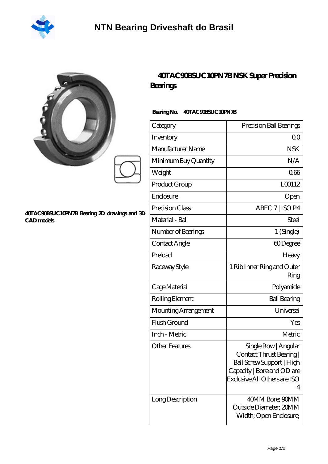

|                                                                   | 40TAC90BSUC10PN7BN<br>Bearings  |
|-------------------------------------------------------------------|---------------------------------|
|                                                                   | 40TAC90BSUC10PN7B<br>BearingNo. |
|                                                                   | Category                        |
|                                                                   | Inventory                       |
|                                                                   | Manufacturer Name               |
|                                                                   | Minimum Buy Quantity            |
|                                                                   | Weight                          |
|                                                                   | Product Group                   |
|                                                                   | Enclosure                       |
| 40TAC90BSUC10PN7B Bearing 2D drawings and 3D<br><b>CAD</b> models | Precision Class                 |
|                                                                   | Material - Ball                 |
|                                                                   | Number of Bearings              |

## **[40TAC90BSUC10PN7B NSK Super Precision](https://vancouverbeerblog.com/super-precision-bearings/40tac90bsuc10pn7b.html)**

| Category             | Precision Ball Bearings                                                                                                                          |
|----------------------|--------------------------------------------------------------------------------------------------------------------------------------------------|
| Inventory            | 0 <sup>0</sup>                                                                                                                                   |
| Manufacturer Name    | <b>NSK</b>                                                                                                                                       |
| Minimum Buy Quantity | N/A                                                                                                                                              |
| Weight               | 066                                                                                                                                              |
| Product Group        | L00112                                                                                                                                           |
| Enclosure            | Open                                                                                                                                             |
| Precision Class      | ABEC 7   ISO P4                                                                                                                                  |
| Material - Ball      | Steel                                                                                                                                            |
| Number of Bearings   | 1 (Single)                                                                                                                                       |
| Contact Angle        | 60Degree                                                                                                                                         |
| Preload              | Heavy                                                                                                                                            |
| Raceway Style        | 1 Rib Inner Ring and Outer<br>Ring                                                                                                               |
| Cage Material        | Polyamide                                                                                                                                        |
| Rolling Element      | <b>Ball Bearing</b>                                                                                                                              |
| Mounting Arrangement | Universal                                                                                                                                        |
| Flush Ground         | Yes                                                                                                                                              |
| Inch - Metric        | Metric                                                                                                                                           |
| Other Features       | Single Row   Angular<br>Contact Thrust Bearing  <br>Ball Screw Support   High<br>Capacity   Bore and OD are<br>Exclusive All Others are ISO<br>4 |
| Long Description     | 40MM Bore; 90MM<br>Outside Diameter; 20MM<br>Width; Open Enclosure;                                                                              |